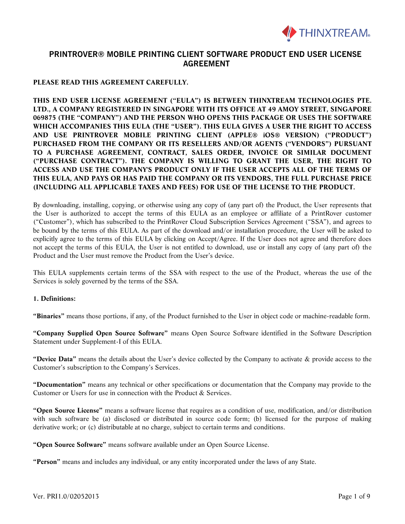

### **PLEASE READ THIS AGREEMENT CAREFULLY.**

**THIS END USER LICENSE AGREEMENT ("EULA") IS BETWEEN THINXTREAM TECHNOLOGIES PTE. LTD., A COMPANY REGISTERED IN SINGAPORE WITH ITS OFFICE AT 49 AMOY STREET, SINGAPORE 069875 (THE "COMPANY") AND THE PERSON WHO OPENS THIS PACKAGE OR USES THE SOFTWARE WHICH ACCOMPANIES THIS EULA (THE "USER"). THIS EULA GIVES A USER THE RIGHT TO ACCESS AND USE PRINTROVER MOBILE PRINTING CLIENT (APPLE® iOS® VERSION) ("PRODUCT") PURCHASED FROM THE COMPANY OR ITS RESELLERS AND/OR AGENTS ("VENDORS") PURSUANT TO A PURCHASE AGREEMENT, CONTRACT, SALES ORDER, INVOICE OR SIMILAR DOCUMENT ("PURCHASE CONTRACT"). THE COMPANY IS WILLING TO GRANT THE USER, THE RIGHT TO ACCESS AND USE THE COMPANY'S PRODUCT ONLY IF THE USER ACCEPTS ALL OF THE TERMS OF THIS EULA, AND PAYS OR HAS PAID THE COMPANY OR ITS VENDORS, THE FULL PURCHASE PRICE (INCLUDING ALL APPLICABLE TAXES AND FEES) FOR USE OF THE LICENSE TO THE PRODUCT.**

By downloading, installing, copying, or otherwise using any copy of (any part of) the Product, the User represents that the User is authorized to accept the terms of this EULA as an employee or affiliate of a PrintRover customer ("Customer"), which has subscribed to the PrintRover Cloud Subscription Services Agreement ("SSA"), and agrees to be bound by the terms of this EULA. As part of the download and/or installation procedure, the User will be asked to explicitly agree to the terms of this EULA by clicking on Accept/Agree. If the User does not agree and therefore does not accept the terms of this EULA, the User is not entitled to download, use or install any copy of (any part of) the Product and the User must remove the Product from the User's device.

This EULA supplements certain terms of the SSA with respect to the use of the Product, whereas the use of the Services is solely governed by the terms of the SSA.

#### **1. Definitions:**

**"Binaries"** means those portions, if any, of the Product furnished to the User in object code or machine-readable form.

**"Company Supplied Open Source Software"** means Open Source Software identified in the Software Description Statement under Supplement-I of this EULA.

**"Device Data"** means the details about the User's device collected by the Company to activate & provide access to the Customer's subscription to the Company's Services.

**"Documentation"** means any technical or other specifications or documentation that the Company may provide to the Customer or Users for use in connection with the Product & Services.

**"Open Source License"** means a software license that requires as a condition of use, modification, and/or distribution with such software be (a) disclosed or distributed in source code form; (b) licensed for the purpose of making derivative work; or (c) distributable at no charge, subject to certain terms and conditions.

**"Open Source Software"** means software available under an Open Source License.

**"Person"** means and includes any individual, or any entity incorporated under the laws of any State.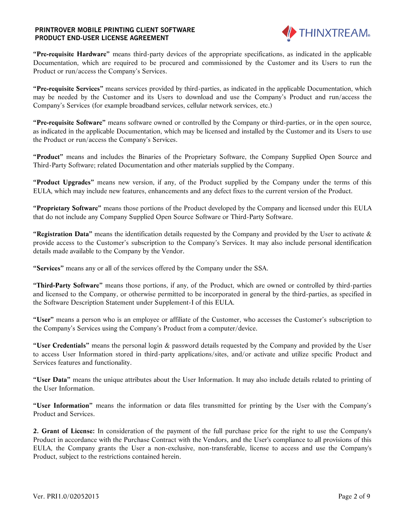

**"Pre-requisite Hardware"** means third-party devices of the appropriate specifications, as indicated in the applicable Documentation, which are required to be procured and commissioned by the Customer and its Users to run the Product or run/access the Company's Services.

**"Pre-requisite Services"** means services provided by third-parties, as indicated in the applicable Documentation, which may be needed by the Customer and its Users to download and use the Company's Product and run/access the Company's Services (for example broadband services, cellular network services, etc.)

**"Pre-requisite Software"** means software owned or controlled by the Company or third-parties, or in the open source, as indicated in the applicable Documentation, which may be licensed and installed by the Customer and its Users to use the Product or run/access the Company's Services.

**"Product"** means and includes the Binaries of the Proprietary Software, the Company Supplied Open Source and Third-Party Software; related Documentation and other materials supplied by the Company.

**"Product Upgrades"** means new version, if any, of the Product supplied by the Company under the terms of this EULA, which may include new features, enhancements and any defect fixes to the current version of the Product.

**"Proprietary Software"** means those portions of the Product developed by the Company and licensed under this EULA that do not include any Company Supplied Open Source Software or Third-Party Software.

**"Registration Data"** means the identification details requested by the Company and provided by the User to activate & provide access to the Customer's subscription to the Company's Services. It may also include personal identification details made available to the Company by the Vendor.

**"Services"** means any or all of the services offered by the Company under the SSA.

**"Third-Party Software"** means those portions, if any, of the Product, which are owned or controlled by third-parties and licensed to the Company, or otherwise permitted to be incorporated in general by the third-parties, as specified in the Software Description Statement under Supplement-I of this EULA.

**"User"** means a person who is an employee or affiliate of the Customer, who accesses the Customer's subscription to the Company's Services using the Company's Product from a computer/device.

**"User Credentials"** means the personal login & password details requested by the Company and provided by the User to access User Information stored in third-party applications/sites, and/or activate and utilize specific Product and Services features and functionality.

**"User Data"** means the unique attributes about the User Information. It may also include details related to printing of the User Information.

**"User Information"** means the information or data files transmitted for printing by the User with the Company's Product and Services.

**2. Grant of License:** In consideration of the payment of the full purchase price for the right to use the Company's Product in accordance with the Purchase Contract with the Vendors, and the User's compliance to all provisions of this EULA, the Company grants the User a non-exclusive, non-transferable, license to access and use the Company's Product, subject to the restrictions contained herein.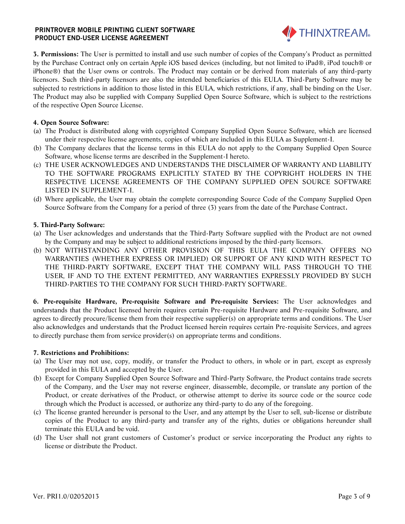

**3. Permissions:** The User is permitted to install and use such number of copies of the Company's Product as permitted by the Purchase Contract only on certain Apple iOS based devices (including, but not limited to iPad®, iPod touch® or iPhone®) that the User owns or controls. The Product may contain or be derived from materials of any third-party licensors. Such third-party licensors are also the intended beneficiaries of this EULA. Third-Party Software may be subjected to restrictions in addition to those listed in this EULA, which restrictions, if any, shall be binding on the User. The Product may also be supplied with Company Supplied Open Source Software, which is subject to the restrictions of the respective Open Source License.

#### **4. Open Source Software:**

- (a) The Product is distributed along with copyrighted Company Supplied Open Source Software, which are licensed under their respective license agreements, copies of which are included in this EULA as Supplement-I.
- (b) The Company declares that the license terms in this EULA do not apply to the Company Supplied Open Source Software, whose license terms are described in the Supplement-I hereto.
- (c) THE USER ACKNOWLEDGES AND UNDERSTANDS THE DISCLAIMER OF WARRANTY AND LIABILITY TO THE SOFTWARE PROGRAMS EXPLICITLY STATED BY THE COPYRIGHT HOLDERS IN THE RESPECTIVE LICENSE AGREEMENTS OF THE COMPANY SUPPLIED OPEN SOURCE SOFTWARE LISTED IN SUPPLEMENT-I.
- (d) Where applicable, the User may obtain the complete corresponding Source Code of the Company Supplied Open Source Software from the Company for a period of three (3) years from the date of the Purchase Contract**.**

#### **5. Third-Party Software:**

- (a) The User acknowledges and understands that the Third-Party Software supplied with the Product are not owned by the Company and may be subject to additional restrictions imposed by the third-party licensors.
- (b) NOT WITHSTANDING ANY OTHER PROVISION OF THIS EULA THE COMPANY OFFERS NO WARRANTIES (WHETHER EXPRESS OR IMPLIED) OR SUPPORT OF ANY KIND WITH RESPECT TO THE THIRD-PARTY SOFTWARE, EXCEPT THAT THE COMPANY WILL PASS THROUGH TO THE USER, IF AND TO THE EXTENT PERMITTED, ANY WARRANTIES EXPRESSLY PROVIDED BY SUCH THIRD-PARTIES TO THE COMPANY FOR SUCH THIRD-PARTY SOFTWARE.

**6. Pre-requisite Hardware, Pre-requisite Software and Pre-requisite Services:** The User acknowledges and understands that the Product licensed herein requires certain Pre-requisite Hardware and Pre-requisite Software, and agrees to directly procure/license them from their respective supplier(s) on appropriate terms and conditions. The User also acknowledges and understands that the Product licensed herein requires certain Pre-requisite Services, and agrees to directly purchase them from service provider(s) on appropriate terms and conditions.

#### **7. Restrictions and Prohibitions:**

- (a) The User may not use, copy, modify, or transfer the Product to others, in whole or in part, except as expressly provided in this EULA and accepted by the User.
- (b) Except for Company Supplied Open Source Software and Third-Party Software, the Product contains trade secrets of the Company, and the User may not reverse engineer, disassemble, decompile, or translate any portion of the Product, or create derivatives of the Product, or otherwise attempt to derive its source code or the source code through which the Product is accessed, or authorize any third-party to do any of the foregoing.
- (c) The license granted hereunder is personal to the User, and any attempt by the User to sell, sub-license or distribute copies of the Product to any third-party and transfer any of the rights, duties or obligations hereunder shall terminate this EULA and be void.
- (d) The User shall not grant customers of Customer's product or service incorporating the Product any rights to license or distribute the Product.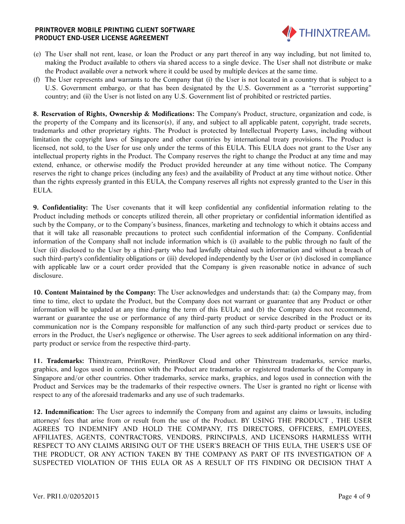

- (e) The User shall not rent, lease, or loan the Product or any part thereof in any way including, but not limited to, making the Product available to others via shared access to a single device. The User shall not distribute or make the Product available over a network where it could be used by multiple devices at the same time.
- (f) The User represents and warrants to the Company that (i) the User is not located in a country that is subject to a U.S. Government embargo, or that has been designated by the U.S. Government as a "terrorist supporting" country; and (ii) the User is not listed on any U.S. Government list of prohibited or restricted parties.

**8. Reservation of Rights, Ownership & Modifications:** The Company's Product, structure, organization and code, is the property of the Company and its licensor(s), if any, and subject to all applicable patent, copyright, trade secrets, trademarks and other proprietary rights. The Product is protected by Intellectual Property Laws, including without limitation the copyright laws of Singapore and other countries by international treaty provisions. The Product is licensed, not sold, to the User for use only under the terms of this EULA. This EULA does not grant to the User any intellectual property rights in the Product. The Company reserves the right to change the Product at any time and may extend, enhance, or otherwise modify the Product provided hereunder at any time without notice. The Company reserves the right to change prices (including any fees) and the availability of Product at any time without notice. Other than the rights expressly granted in this EULA, the Company reserves all rights not expressly granted to the User in this EULA.

**9. Confidentiality:** The User covenants that it will keep confidential any confidential information relating to the Product including methods or concepts utilized therein, all other proprietary or confidential information identified as such by the Company, or to the Company's business, finances, marketing and technology to which it obtains access and that it will take all reasonable precautions to protect such confidential information of the Company. Confidential information of the Company shall not include information which is (i) available to the public through no fault of the User (ii) disclosed to the User by a third-party who had lawfully obtained such information and without a breach of such third-party's confidentiality obligations or (iii) developed independently by the User or (iv) disclosed in compliance with applicable law or a court order provided that the Company is given reasonable notice in advance of such disclosure.

**10. Content Maintained by the Company:** The User acknowledges and understands that: (a) the Company may, from time to time, elect to update the Product, but the Company does not warrant or guarantee that any Product or other information will be updated at any time during the term of this EULA; and (b) the Company does not recommend, warrant or guarantee the use or performance of any third-party product or service described in the Product or its communication nor is the Company responsible for malfunction of any such third-party product or services due to errors in the Product, the User's negligence or otherwise. The User agrees to seek additional information on any thirdparty product or service from the respective third-party.

**11. Trademarks:** Thinxtream, PrintRover, PrintRover Cloud and other Thinxtream trademarks, service marks, graphics, and logos used in connection with the Product are trademarks or registered trademarks of the Company in Singapore and/or other countries. Other trademarks, service marks, graphics, and logos used in connection with the Product and Services may be the trademarks of their respective owners. The User is granted no right or license with respect to any of the aforesaid trademarks and any use of such trademarks.

**12. Indemnification:** The User agrees to indemnify the Company from and against any claims or lawsuits, including attorneys' fees that arise from or result from the use of the Product. BY USING THE PRODUCT , THE USER AGREES TO INDEMNIFY AND HOLD THE COMPANY, ITS DIRECTORS, OFFICERS, EMPLOYEES, AFFILIATES, AGENTS, CONTRACTORS, VENDORS, PRINCIPALS, AND LICENSORS HARMLESS WITH RESPECT TO ANY CLAIMS ARISING OUT OF THE USER'S BREACH OF THIS EULA, THE USER'S USE OF THE PRODUCT, OR ANY ACTION TAKEN BY THE COMPANY AS PART OF ITS INVESTIGATION OF A SUSPECTED VIOLATION OF THIS EULA OR AS A RESULT OF ITS FINDING OR DECISION THAT A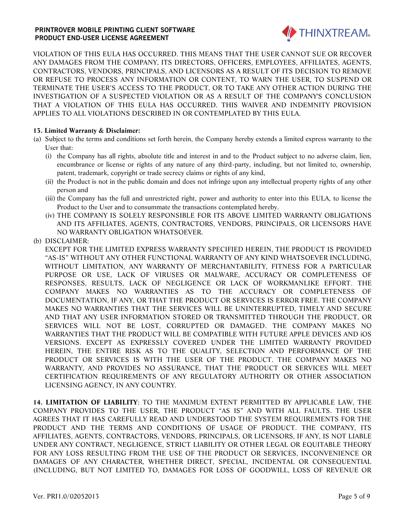

VIOLATION OF THIS EULA HAS OCCURRED. THIS MEANS THAT THE USER CANNOT SUE OR RECOVER ANY DAMAGES FROM THE COMPANY, ITS DIRECTORS, OFFICERS, EMPLOYEES, AFFILIATES, AGENTS, CONTRACTORS, VENDORS, PRINCIPALS, AND LICENSORS AS A RESULT OF ITS DECISION TO REMOVE OR REFUSE TO PROCESS ANY INFORMATION OR CONTENT, TO WARN THE USER, TO SUSPEND OR TERMINATE THE USER'S ACCESS TO THE PRODUCT, OR TO TAKE ANY OTHER ACTION DURING THE INVESTIGATION OF A SUSPECTED VIOLATION OR AS A RESULT OF THE COMPANY'S CONCLUSION THAT A VIOLATION OF THIS EULA HAS OCCURRED. THIS WAIVER AND INDEMNITY PROVISION APPLIES TO ALL VIOLATIONS DESCRIBED IN OR CONTEMPLATED BY THIS EULA.

#### **13. Limited Warranty & Disclaimer:**

- (a) Subject to the terms and conditions set forth herein, the Company hereby extends a limited express warranty to the User that:
	- (i) the Company has all rights, absolute title and interest in and to the Product subject to no adverse claim, lien, encumbrance or license or rights of any nature of any third-party, including, but not limited to, ownership, patent, trademark, copyright or trade secrecy claims or rights of any kind,
	- (ii) the Product is not in the public domain and does not infringe upon any intellectual property rights of any other person and
	- (iii) the Company has the full and unrestricted right, power and authority to enter into this EULA, to license the Product to the User and to consummate the transactions contemplated hereby.
	- (iv) THE COMPANY IS SOLELY RESPONSIBLE FOR ITS ABOVE LIMITED WARRANTY OBLIGATIONS AND ITS AFFILIATES, AGENTS, CONTRACTORS, VENDORS, PRINCIPALS, OR LICENSORS HAVE NO WARRANTY OBLIGATION WHATSOEVER.
- (b) DISCLAIMER:

EXCEPT FOR THE LIMITED EXPRESS WARRANTY SPECIFIED HEREIN, THE PRODUCT IS PROVIDED "AS-IS" WITHOUT ANY OTHER FUNCTIONAL WARRANTY OF ANY KIND WHATSOEVER INCLUDING, WITHOUT LIMITATION, ANY WARRANTY OF MERCHANTABILITY, FITNESS FOR A PARTICULAR PURPOSE OR USE, LACK OF VIRUSES OR MALWARE, ACCURACY OR COMPLETENESS OF RESPONSES, RESULTS, LACK OF NEGLIGENCE OR LACK OF WORKMANLIKE EFFORT. THE COMPANY MAKES NO WARRANTIES AS TO THE ACCURACY OR COMPLETENESS OF DOCUMENTATION, IF ANY, OR THAT THE PRODUCT OR SERVICES IS ERROR FREE. THE COMPANY MAKES NO WARRANTIES THAT THE SERVICES WILL BE UNINTERRUPTED, TIMELY AND SECURE AND THAT ANY USER INFORMATION STORED OR TRANSMITTED THROUGH THE PRODUCT, OR SERVICES WILL NOT BE LOST, CORRUPTED OR DAMAGED. THE COMPANY MAKES NO WARRANTIES THAT THE PRODUCT WILL BE COMPATIBLE WITH FUTURE APPLE DEVICES AND iOS VERSIONS. EXCEPT AS EXPRESSLY COVERED UNDER THE LIMITED WARRANTY PROVIDED HEREIN, THE ENTIRE RISK AS TO THE QUALITY, SELECTION AND PERFORMANCE OF THE PRODUCT OR SERVICES IS WITH THE USER OF THE PRODUCT. THE COMPANY MAKES NO WARRANTY, AND PROVIDES NO ASSURANCE, THAT THE PRODUCT OR SERVICES WILL MEET CERTIFICATION REQUIREMENTS OF ANY REGULATORY AUTHORITY OR OTHER ASSOCIATION LICENSING AGENCY, IN ANY COUNTRY.

**14. LIMITATION OF LIABILITY**: TO THE MAXIMUM EXTENT PERMITTED BY APPLICABLE LAW, THE COMPANY PROVIDES TO THE USER, THE PRODUCT "AS IS" AND WITH ALL FAULTS. THE USER AGREES THAT IT HAS CAREFULLY READ AND UNDERSTOOD THE SYSTEM REQUIREMENTS FOR THE PRODUCT AND THE TERMS AND CONDITIONS OF USAGE OF PRODUCT. THE COMPANY, ITS AFFILIATES, AGENTS, CONTRACTORS, VENDORS, PRINCIPALS, OR LICENSORS, IF ANY, IS NOT LIABLE UNDER ANY CONTRACT, NEGLIGENCE, STRICT LIABILITY OR OTHER LEGAL OR EQUITABLE THEORY FOR ANY LOSS RESULTING FROM THE USE OF THE PRODUCT OR SERVICES, INCONVENIENCE OR DAMAGES OF ANY CHARACTER, WHETHER DIRECT, SPECIAL, INCIDENTAL OR CONSEQUENTIAL (INCLUDING, BUT NOT LIMITED TO, DAMAGES FOR LOSS OF GOODWILL, LOSS OF REVENUE OR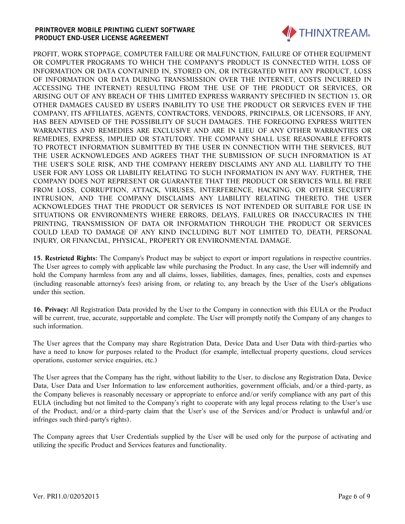

PROFIT, WORK STOPPAGE, COMPUTER FAILURE OR MALFUNCTION, FAILURE OF OTHER EQUIPMENT OR COMPUTER PROGRAMS TO WHICH THE COMPANY'S PRODUCT IS CONNECTED WITH, LOSS OF INFORMATION OR DATA CONTAINED IN, STORED ON, OR INTEGRATED WITH ANY PRODUCT, LOSS OF INFORMATION OR DATA DURING TRANSMISSION OVER THE INTERNET, COSTS INCURRED IN ACCESSING THE INTERNET) RESULTING FROM THE USE OF THE PRODUCT OR SERVICES, OR ARISING OUT OF ANY BREACH OF THIS LIMITED EXPRESS WARRANTY SPECIFIED IN SECTION 13, OR OTHER DAMAGES CAUSED BY USER'S INABILITY TO USE THE PRODUCT OR SERVICES EVEN IF THE COMPANY, ITS AFFILIATES, AGENTS, CONTRACTORS, VENDORS, PRINCIPALS, OR LICENSORS, IF ANY, HAS BEEN ADVISED OF THE POSSIBILITY OF SUCH DAMAGES. THE FOREGOING EXPRESS WRITTEN WARRANTIES AND REMEDIES ARE EXCLUSIVE AND ARE IN LIEU OF ANY OTHER WARRANTIES OR REMEDIES, EXPRESS, IMPLIED OR STATUTORY. THE COMPANY SHALL USE REASONABLE EFFORTS TO PROTECT INFORMATION SUBMITTED BY THE USER IN CONNECTION WITH THE SERVICES, BUT THE USER ACKNOWLEDGES AND AGREES THAT THE SUBMISSION OF SUCH INFORMATION IS AT THE USER'S SOLE RISK, AND THE COMPANY HEREBY DISCLAIMS ANY AND ALL LIABILITY TO THE USER FOR ANY LOSS OR LIABILITY RELATING TO SUCH INFORMATION IN ANY WAY. FURTHER, THE COMPANY DOES NOT REPRESENT OR GUARANTEE THAT THE PRODUCT OR SERVICES WILL BE FREE FROM LOSS, CORRUPTION, ATTACK, VIRUSES, INTERFERENCE, HACKING, OR OTHER SECURITY INTRUSION, AND THE COMPANY DISCLAIMS ANY LIABILITY RELATING THERETO. THE USER ACKNOWLEDGES THAT THE PRODUCT OR SERVICES IS NOT INTENDED OR SUITABLE FOR USE IN SITUATIONS OR ENVIRONMENTS WHERE ERRORS, DELAYS, FAILURES OR INACCURACIES IN THE PRINTING, TRANSMISSION OF DATA OR INFORMATION THROUGH THE PRODUCT OR SERVICES COULD LEAD TO DAMAGE OF ANY KIND INCLUDING BUT NOT LIMITED TO, DEATH, PERSONAL INJURY, OR FINANCIAL, PHYSICAL, PROPERTY OR ENVIRONMENTAL DAMAGE.

**15. Restricted Rights:** The Company's Product may be subject to export or import regulations in respective countries. The User agrees to comply with applicable law while purchasing the Product. In any case, the User will indemnify and hold the Company harmless from any and all claims, losses, liabilities, damages, fines, penalties, costs and expenses (including reasonable attorney's fees) arising from, or relating to, any breach by the User of the User's obligations under this section.

**16. Privacy:** All Registration Data provided by the User to the Company in connection with this EULA or the Product will be current, true, accurate, supportable and complete. The User will promptly notify the Company of any changes to such information.

The User agrees that the Company may share Registration Data, Device Data and User Data with third-parties who have a need to know for purposes related to the Product (for example, intellectual property questions, cloud services operations, customer service enquiries, etc.)

The User agrees that the Company has the right, without liability to the User, to disclose any Registration Data, Device Data, User Data and User Information to law enforcement authorities, government officials, and/or a third-party, as the Company believes is reasonably necessary or appropriate to enforce and/or verify compliance with any part of this EULA (including but not limited to the Company's right to cooperate with any legal process relating to the User's use of the Product, and/or a third-party claim that the User's use of the Services and/or Product is unlawful and/or infringes such third-party's rights).

The Company agrees that User Credentials supplied by the User will be used only for the purpose of activating and utilizing the specific Product and Services features and functionality.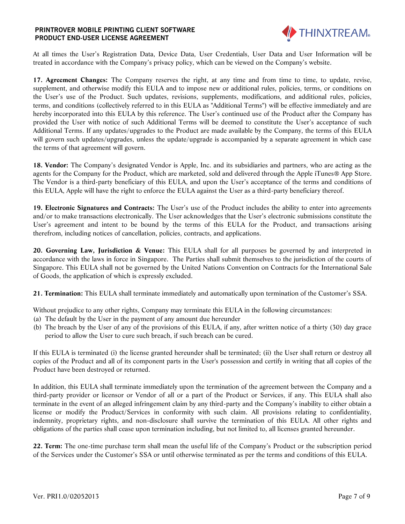

At all times the User's Registration Data, Device Data, User Credentials, User Data and User Information will be treated in accordance with the Company's privacy policy, which can be viewed on the Company's website.

**17. Agreement Changes:** The Company reserves the right, at any time and from time to time, to update, revise, supplement, and otherwise modify this EULA and to impose new or additional rules, policies, terms, or conditions on the User's use of the Product. Such updates, revisions, supplements, modifications, and additional rules, policies, terms, and conditions (collectively referred to in this EULA as "Additional Terms") will be effective immediately and are hereby incorporated into this EULA by this reference. The User's continued use of the Product after the Company has provided the User with notice of such Additional Terms will be deemed to constitute the User's acceptance of such Additional Terms. If any updates/upgrades to the Product are made available by the Company, the terms of this EULA will govern such updates/upgrades, unless the update/upgrade is accompanied by a separate agreement in which case the terms of that agreement will govern.

**18. Vendor:** The Company's designated Vendor is Apple, Inc. and its subsidiaries and partners, who are acting as the agents for the Company for the Product, which are marketed, sold and delivered through the Apple iTunes® App Store. The Vendor is a third-party beneficiary of this EULA, and upon the User's acceptance of the terms and conditions of this EULA, Apple will have the right to enforce the EULA against the User as a third-party beneficiary thereof.

**19. Electronic Signatures and Contracts:** The User's use of the Product includes the ability to enter into agreements and/or to make transactions electronically. The User acknowledges that the User's electronic submissions constitute the User's agreement and intent to be bound by the terms of this EULA for the Product, and transactions arising therefrom, including notices of cancellation, policies, contracts, and applications.

**20. Governing Law, Jurisdiction & Venue:** This EULA shall for all purposes be governed by and interpreted in accordance with the laws in force in Singapore. The Parties shall submit themselves to the jurisdiction of the courts of Singapore. This EULA shall not be governed by the United Nations Convention on Contracts for the International Sale of Goods, the application of which is expressly excluded.

**21. Termination:** This EULA shall terminate immediately and automatically upon termination of the Customer's SSA.

Without prejudice to any other rights, Company may terminate this EULA in the following circumstances:

- (a) The default by the User in the payment of any amount due hereunder
- (b) The breach by the User of any of the provisions of this EULA, if any, after written notice of a thirty (30) day grace period to allow the User to cure such breach, if such breach can be cured.

If this EULA is terminated (i) the license granted hereunder shall be terminated; (ii) the User shall return or destroy all copies of the Product and all of its component parts in the User's possession and certify in writing that all copies of the Product have been destroyed or returned.

In addition, this EULA shall terminate immediately upon the termination of the agreement between the Company and a third-party provider or licensor or Vendor of all or a part of the Product or Services, if any. This EULA shall also terminate in the event of an alleged infringement claim by any third-party and the Company's inability to either obtain a license or modify the Product/Services in conformity with such claim. All provisions relating to confidentiality, indemnity, proprietary rights, and non-disclosure shall survive the termination of this EULA. All other rights and obligations of the parties shall cease upon termination including, but not limited to, all licenses granted hereunder.

**22. Term:** The one-time purchase term shall mean the useful life of the Company's Product or the subscription period of the Services under the Customer's SSA or until otherwise terminated as per the terms and conditions of this EULA.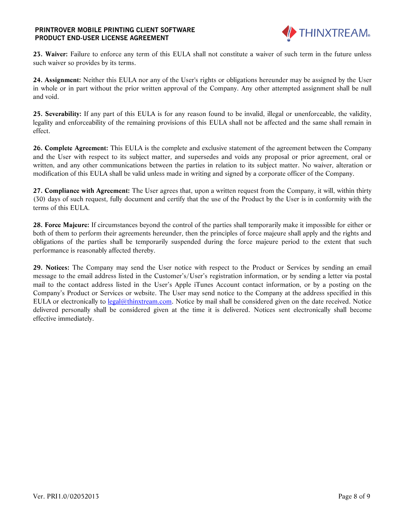

**23. Waiver:** Failure to enforce any term of this EULA shall not constitute a waiver of such term in the future unless such waiver so provides by its terms.

**24. Assignment:** Neither this EULA nor any of the User's rights or obligations hereunder may be assigned by the User in whole or in part without the prior written approval of the Company. Any other attempted assignment shall be null and void.

**25. Severability:** If any part of this EULA is for any reason found to be invalid, illegal or unenforceable, the validity, legality and enforceability of the remaining provisions of this EULA shall not be affected and the same shall remain in effect.

**26. Complete Agreement:** This EULA is the complete and exclusive statement of the agreement between the Company and the User with respect to its subject matter, and supersedes and voids any proposal or prior agreement, oral or written, and any other communications between the parties in relation to its subject matter. No waiver, alteration or modification of this EULA shall be valid unless made in writing and signed by a corporate officer of the Company.

**27. Compliance with Agreement:** The User agrees that, upon a written request from the Company, it will, within thirty (30) days of such request, fully document and certify that the use of the Product by the User is in conformity with the terms of this EULA.

**28. Force Majeure:** If circumstances beyond the control of the parties shall temporarily make it impossible for either or both of them to perform their agreements hereunder, then the principles of force majeure shall apply and the rights and obligations of the parties shall be temporarily suspended during the force majeure period to the extent that such performance is reasonably affected thereby.

**29. Notices:** The Company may send the User notice with respect to the Product or Services by sending an email message to the email address listed in the Customer's/User's registration information, or by sending a letter via postal mail to the contact address listed in the User's Apple iTunes Account contact information, or by a posting on the Company's Product or Services or website. The User may send notice to the Company at the address specified in this EULA or electronically to [legal@thinxtream.com.](file:///D:/My%20Documents/Marketing/Agreements/SW%20Product%20License%20Agreements/Download%20Version/PJ/Epson-Apple/Free/legal@thinxtream.com) Notice by mail shall be considered given on the date received. Notice delivered personally shall be considered given at the time it is delivered. Notices sent electronically shall become effective immediately.